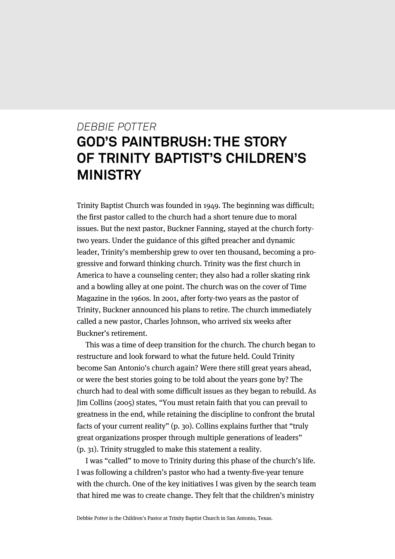# *DEBBIE POTTER* **GOD'S PAINTBRUSH: THE STORY OF TRINITY BAPTIST'S CHILDREN'S MINISTRY**

Trinity Baptist Church was founded in 1949. The beginning was difficult; the first pastor called to the church had a short tenure due to moral issues. But the next pastor, Buckner Fanning, stayed at the church fortytwo years. Under the guidance of this gifted preacher and dynamic leader, Trinity's membership grew to over ten thousand, becoming a progressive and forward thinking church. Trinity was the first church in America to have a counseling center; they also had a roller skating rink and a bowling alley at one point. The church was on the cover of Time Magazine in the 1960s. In 2001, after forty-two years as the pastor of Trinity, Buckner announced his plans to retire. The church immediately called a new pastor, Charles Johnson, who arrived six weeks after Buckner's retirement.

This was a time of deep transition for the church. The church began to restructure and look forward to what the future held. Could Trinity become San Antonio's church again? Were there still great years ahead, or were the best stories going to be told about the years gone by? The church had to deal with some difficult issues as they began to rebuild. As Jim Collins (2005) states, "You must retain faith that you can prevail to greatness in the end, while retaining the discipline to confront the brutal facts of your current reality" (p. 30). Collins explains further that "truly great organizations prosper through multiple generations of leaders" (p. 31). Trinity struggled to make this statement a reality.

I was "called" to move to Trinity during this phase of the church's life. I was following a children's pastor who had a twenty-five-year tenure with the church. One of the key initiatives I was given by the search team that hired me was to create change. They felt that the children's ministry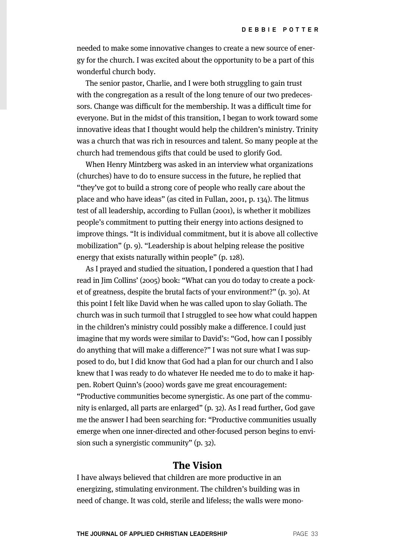needed to make some innovative changes to create a new source of energy for the church. I was excited about the opportunity to be a part of this wonderful church body.

The senior pastor, Charlie, and I were both struggling to gain trust with the congregation as a result of the long tenure of our two predecessors. Change was difficult for the membership. It was a difficult time for everyone. But in the midst of this transition, I began to work toward some innovative ideas that I thought would help the children's ministry. Trinity was a church that was rich in resources and talent. So many people at the church had tremendous gifts that could be used to glorify God.

When Henry Mintzberg was asked in an interview what organizations (churches) have to do to ensure success in the future, he replied that "they've got to build a strong core of people who really care about the place and who have ideas" (as cited in Fullan, 2001, p. 134). The litmus test of all leadership, according to Fullan (2001), is whether it mobilizes people's commitment to putting their energy into actions designed to improve things. "It is individual commitment, but it is above all collective mobilization" (p. 9). "Leadership is about helping release the positive energy that exists naturally within people" (p. 128).

As I prayed and studied the situation, I pondered a question that I had read in Jim Collins' (2005) book: "What can you do today to create a pocket of greatness, despite the brutal facts of your environment?" (p. 30). At this point I felt like David when he was called upon to slay Goliath. The church was in such turmoil that I struggled to see how what could happen in the children's ministry could possibly make a difference. I could just imagine that my words were similar to David's: "God, how can I possibly do anything that will make a difference?" I was not sure what I was supposed to do, but I did know that God had a plan for our church and I also knew that I was ready to do whatever He needed me to do to make it happen. Robert Quinn's (2000) words gave me great encouragement: "Productive communities become synergistic. As one part of the community is enlarged, all parts are enlarged" (p. 32). As I read further, God gave me the answer I had been searching for: "Productive communities usually emerge when one inner-directed and other-focused person begins to envision such a synergistic community" (p. 32).

## **The Vision**

I have always believed that children are more productive in an energizing, stimulating environment. The children's building was in need of change. It was cold, sterile and lifeless; the walls were mono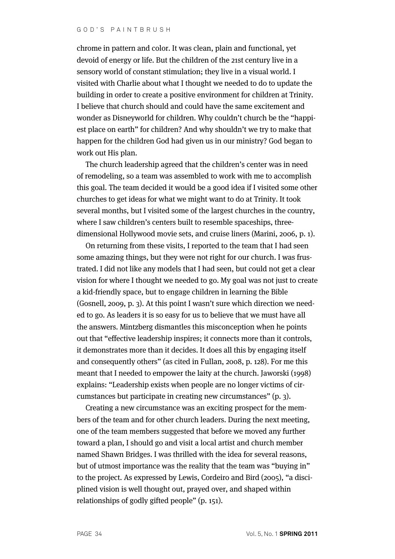chrome in pattern and color. It was clean, plain and functional, yet devoid of energy or life. But the children of the 21st century live in a sensory world of constant stimulation; they live in a visual world. I visited with Charlie about what I thought we needed to do to update the building in order to create a positive environment for children at Trinity. I believe that church should and could have the same excitement and wonder as Disneyworld for children. Why couldn't church be the "happiest place on earth" for children? And why shouldn't we try to make that happen for the children God had given us in our ministry? God began to work out His plan.

The church leadership agreed that the children's center was in need of remodeling, so a team was assembled to work with me to accomplish this goal. The team decided it would be a good idea if I visited some other churches to get ideas for what we might want to do at Trinity. It took several months, but I visited some of the largest churches in the country, where I saw children's centers built to resemble spaceships, threedimensional Hollywood movie sets, and cruise liners (Marini, 2006, p. 1).

On returning from these visits, I reported to the team that I had seen some amazing things, but they were not right for our church. I was frustrated. I did not like any models that I had seen, but could not get a clear vision for where I thought we needed to go. My goal was not just to create a kid-friendly space, but to engage children in learning the Bible (Gosnell, 2009, p. 3). At this point I wasn't sure which direction we needed to go. As leaders it is so easy for us to believe that we must have all the answers. Mintzberg dismantles this misconception when he points out that "effective leadership inspires; it connects more than it controls, it demonstrates more than it decides. It does all this by engaging itself and consequently others" (as cited in Fullan, 2008, p. 128). For me this meant that I needed to empower the laity at the church. Jaworski (1998) explains: "Leadership exists when people are no longer victims of circumstances but participate in creating new circumstances" (p. 3).

Creating a new circumstance was an exciting prospect for the members of the team and for other church leaders. During the next meeting, one of the team members suggested that before we moved any further toward a plan, I should go and visit a local artist and church member named Shawn Bridges. I was thrilled with the idea for several reasons, but of utmost importance was the reality that the team was "buying in" to the project. As expressed by Lewis, Cordeiro and Bird (2005), "a disciplined vision is well thought out, prayed over, and shaped within relationships of godly gifted people" (p. 151).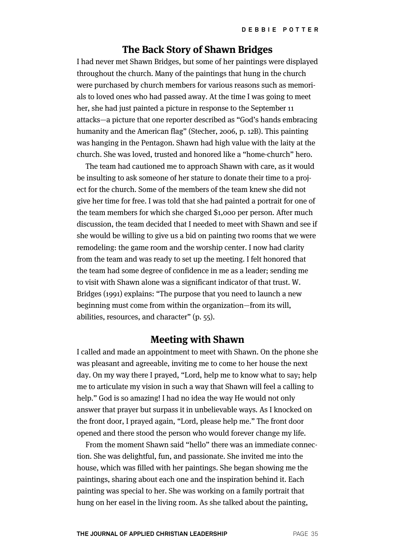## **The Back Story of Shawn Bridges**

I had never met Shawn Bridges, but some of her paintings were displayed throughout the church. Many of the paintings that hung in the church were purchased by church members for various reasons such as memorials to loved ones who had passed away. At the time I was going to meet her, she had just painted a picture in response to the September 11 attacks—a picture that one reporter described as "God's hands embracing humanity and the American flag" (Stecher, 2006, p. 12B). This painting was hanging in the Pentagon. Shawn had high value with the laity at the church. She was loved, trusted and honored like a "home-church" hero.

The team had cautioned me to approach Shawn with care, as it would be insulting to ask someone of her stature to donate their time to a project for the church. Some of the members of the team knew she did not give her time for free. I was told that she had painted a portrait for one of the team members for which she charged \$1,000 per person. After much discussion, the team decided that I needed to meet with Shawn and see if she would be willing to give us a bid on painting two rooms that we were remodeling: the game room and the worship center. I now had clarity from the team and was ready to set up the meeting. I felt honored that the team had some degree of confidence in me as a leader; sending me to visit with Shawn alone was a significant indicator of that trust. W. Bridges (1991) explains: "The purpose that you need to launch a new beginning must come from within the organization—from its will, abilities, resources, and character" (p. 55).

#### **Meeting with Shawn**

I called and made an appointment to meet with Shawn. On the phone she was pleasant and agreeable, inviting me to come to her house the next day. On my way there I prayed, "Lord, help me to know what to say; help me to articulate my vision in such a way that Shawn will feel a calling to help." God is so amazing! I had no idea the way He would not only answer that prayer but surpass it in unbelievable ways. As I knocked on the front door, I prayed again, "Lord, please help me." The front door opened and there stood the person who would forever change my life.

From the moment Shawn said "hello" there was an immediate connection. She was delightful, fun, and passionate. She invited me into the house, which was filled with her paintings. She began showing me the paintings, sharing about each one and the inspiration behind it. Each painting was special to her. She was working on a family portrait that hung on her easel in the living room. As she talked about the painting,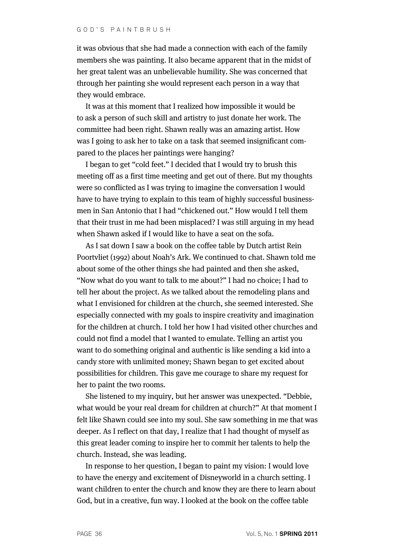it was obvious that she had made a connection with each of the family members she was painting. It also became apparent that in the midst of her great talent was an unbelievable humility. She was concerned that through her painting she would represent each person in a way that they would embrace.

It was at this moment that I realized how impossible it would be to ask a person of such skill and artistry to just donate her work. The committee had been right. Shawn really was an amazing artist. How was I going to ask her to take on a task that seemed insignificant compared to the places her paintings were hanging?

I began to get "cold feet." I decided that I would try to brush this meeting off as a first time meeting and get out of there. But my thoughts were so conflicted as I was trying to imagine the conversation I would have to have trying to explain to this team of highly successful businessmen in San Antonio that I had "chickened out." How would I tell them that their trust in me had been misplaced? I was still arguing in my head when Shawn asked if I would like to have a seat on the sofa.

As I sat down I saw a book on the coffee table by Dutch artist Rein Poortvliet (1992) about Noah's Ark. We continued to chat. Shawn told me about some of the other things she had painted and then she asked, "Now what do you want to talk to me about?" I had no choice; I had to tell her about the project. As we talked about the remodeling plans and what I envisioned for children at the church, she seemed interested. She especially connected with my goals to inspire creativity and imagination for the children at church. I told her how I had visited other churches and could not find a model that I wanted to emulate. Telling an artist you want to do something original and authentic is like sending a kid into a candy store with unlimited money; Shawn began to get excited about possibilities for children. This gave me courage to share my request for her to paint the two rooms.

She listened to my inquiry, but her answer was unexpected. "Debbie, what would be your real dream for children at church?" At that moment I felt like Shawn could see into my soul. She saw something in me that was deeper. As I reflect on that day, I realize that I had thought of myself as this great leader coming to inspire her to commit her talents to help the church. Instead, she was leading.

In response to her question, I began to paint my vision: I would love to have the energy and excitement of Disneyworld in a church setting. I want children to enter the church and know they are there to learn about God, but in a creative, fun way. I looked at the book on the coffee table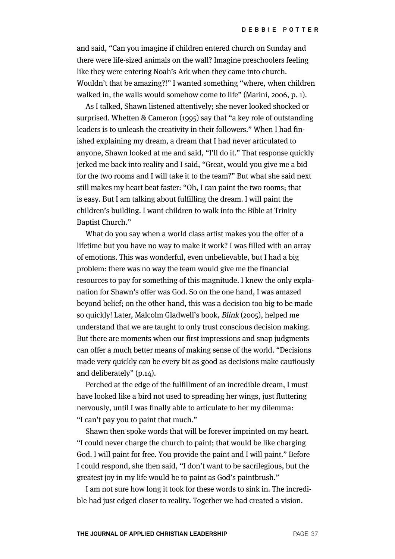and said, "Can you imagine if children entered church on Sunday and there were life-sized animals on the wall? Imagine preschoolers feeling like they were entering Noah's Ark when they came into church. Wouldn't that be amazing?!" I wanted something "where, when children walked in, the walls would somehow come to life" (Marini, 2006, p. 1).

As I talked, Shawn listened attentively; she never looked shocked or surprised. Whetten & Cameron (1995) say that "a key role of outstanding leaders is to unleash the creativity in their followers." When I had finished explaining my dream, a dream that I had never articulated to anyone, Shawn looked at me and said, "I'll do it." That response quickly jerked me back into reality and I said, "Great, would you give me a bid for the two rooms and I will take it to the team?" But what she said next still makes my heart beat faster: "Oh, I can paint the two rooms; that is easy. But I am talking about fulfilling the dream. I will paint the children's building. I want children to walk into the Bible at Trinity Baptist Church."

What do you say when a world class artist makes you the offer of a lifetime but you have no way to make it work? I was filled with an array of emotions. This was wonderful, even unbelievable, but I had a big problem: there was no way the team would give me the financial resources to pay for something of this magnitude. I knew the only explanation for Shawn's offer was God. So on the one hand, I was amazed beyond belief; on the other hand, this was a decision too big to be made so quickly! Later, Malcolm Gladwell's book, Blink (2005), helped me understand that we are taught to only trust conscious decision making. But there are moments when our first impressions and snap judgments can offer a much better means of making sense of the world. "Decisions made very quickly can be every bit as good as decisions make cautiously and deliberately" (p.14).

Perched at the edge of the fulfillment of an incredible dream, I must have looked like a bird not used to spreading her wings, just fluttering nervously, until I was finally able to articulate to her my dilemma: "I can't pay you to paint that much."

Shawn then spoke words that will be forever imprinted on my heart. "I could never charge the church to paint; that would be like charging God. I will paint for free. You provide the paint and I will paint." Before I could respond, she then said, "I don't want to be sacrilegious, but the greatest joy in my life would be to paint as God's paintbrush."

I am not sure how long it took for these words to sink in. The incredible had just edged closer to reality. Together we had created a vision.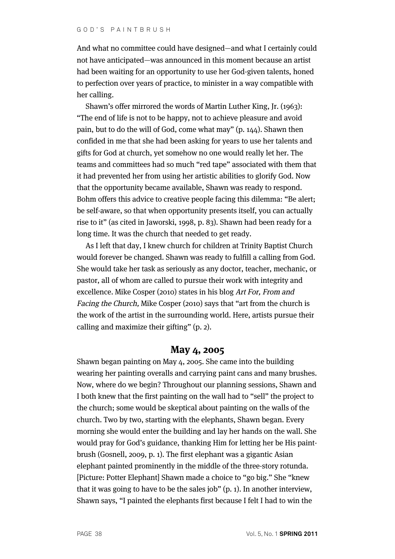And what no committee could have designed—and what I certainly could not have anticipated—was announced in this moment because an artist had been waiting for an opportunity to use her God-given talents, honed to perfection over years of practice, to minister in a way compatible with her calling.

Shawn's offer mirrored the words of Martin Luther King, Jr. (1963): "The end of life is not to be happy, not to achieve pleasure and avoid pain, but to do the will of God, come what may" (p. 144). Shawn then confided in me that she had been asking for years to use her talents and gifts for God at church, yet somehow no one would really let her. The teams and committees had so much "red tape" associated with them that it had prevented her from using her artistic abilities to glorify God. Now that the opportunity became available, Shawn was ready to respond. Bohm offers this advice to creative people facing this dilemma: "Be alert; be self-aware, so that when opportunity presents itself, you can actually rise to it" (as cited in Jaworski, 1998, p. 83). Shawn had been ready for a long time. It was the church that needed to get ready.

As I left that day, I knew church for children at Trinity Baptist Church would forever be changed. Shawn was ready to fulfill a calling from God. She would take her task as seriously as any doctor, teacher, mechanic, or pastor, all of whom are called to pursue their work with integrity and excellence. Mike Cosper (2010) states in his blog Art For, From and Facing the Church, Mike Cosper (2010) says that "art from the church is the work of the artist in the surrounding world. Here, artists pursue their calling and maximize their gifting" (p. 2).

# **May 4, 2005**

Shawn began painting on May 4, 2005. She came into the building wearing her painting overalls and carrying paint cans and many brushes. Now, where do we begin? Throughout our planning sessions, Shawn and I both knew that the first painting on the wall had to "sell" the project to the church; some would be skeptical about painting on the walls of the church. Two by two, starting with the elephants, Shawn began. Every morning she would enter the building and lay her hands on the wall. She would pray for God's guidance, thanking Him for letting her be His paintbrush (Gosnell, 2009, p. 1). The first elephant was a gigantic Asian elephant painted prominently in the middle of the three-story rotunda. [Picture: Potter Elephant] Shawn made a choice to "go big." She "knew that it was going to have to be the sales job" (p. 1). In another interview, Shawn says, "I painted the elephants first because I felt I had to win the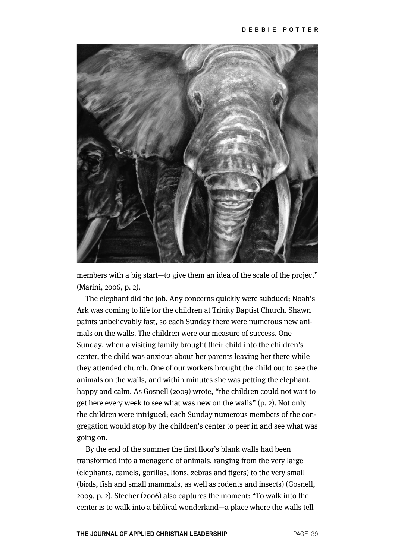

members with a big start—to give them an idea of the scale of the project" (Marini, 2006, p. 2).

The elephant did the job. Any concerns quickly were subdued; Noah's Ark was coming to life for the children at Trinity Baptist Church. Shawn paints unbelievably fast, so each Sunday there were numerous new animals on the walls. The children were our measure of success. One Sunday, when a visiting family brought their child into the children's center, the child was anxious about her parents leaving her there while they attended church. One of our workers brought the child out to see the animals on the walls, and within minutes she was petting the elephant, happy and calm. As Gosnell (2009) wrote, "the children could not wait to get here every week to see what was new on the walls" (p. 2). Not only the children were intrigued; each Sunday numerous members of the congregation would stop by the children's center to peer in and see what was going on.

By the end of the summer the first floor's blank walls had been transformed into a menagerie of animals, ranging from the very large (elephants, camels, gorillas, lions, zebras and tigers) to the very small (birds, fish and small mammals, as well as rodents and insects) (Gosnell, 2009, p. 2). Stecher (2006) also captures the moment: "To walk into the center is to walk into a biblical wonderland—a place where the walls tell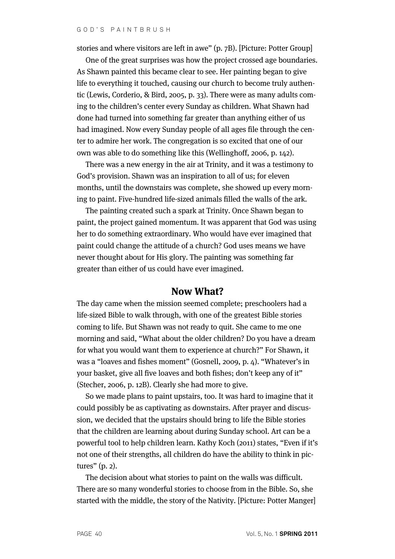stories and where visitors are left in awe" (p. 7B). [Picture: Potter Group]

One of the great surprises was how the project crossed age boundaries. As Shawn painted this became clear to see. Her painting began to give life to everything it touched, causing our church to become truly authentic (Lewis, Corderio, & Bird, 2005, p. 33). There were as many adults coming to the children's center every Sunday as children. What Shawn had done had turned into something far greater than anything either of us had imagined. Now every Sunday people of all ages file through the center to admire her work. The congregation is so excited that one of our own was able to do something like this (Wellinghoff, 2006, p. 142).

There was a new energy in the air at Trinity, and it was a testimony to God's provision. Shawn was an inspiration to all of us; for eleven months, until the downstairs was complete, she showed up every morning to paint. Five-hundred life-sized animals filled the walls of the ark.

The painting created such a spark at Trinity. Once Shawn began to paint, the project gained momentum. It was apparent that God was using her to do something extraordinary. Who would have ever imagined that paint could change the attitude of a church? God uses means we have never thought about for His glory. The painting was something far greater than either of us could have ever imagined.

#### **Now What?**

The day came when the mission seemed complete; preschoolers had a life-sized Bible to walk through, with one of the greatest Bible stories coming to life. But Shawn was not ready to quit. She came to me one morning and said, "What about the older children? Do you have a dream for what you would want them to experience at church?" For Shawn, it was a "loaves and fishes moment" (Gosnell, 2009, p. 4). "Whatever's in your basket, give all five loaves and both fishes; don't keep any of it" (Stecher, 2006, p. 12B). Clearly she had more to give.

So we made plans to paint upstairs, too. It was hard to imagine that it could possibly be as captivating as downstairs. After prayer and discussion, we decided that the upstairs should bring to life the Bible stories that the children are learning about during Sunday school. Art can be a powerful tool to help children learn. Kathy Koch (2011) states, "Even if it's not one of their strengths, all children do have the ability to think in pictures" (p. 2).

The decision about what stories to paint on the walls was difficult. There are so many wonderful stories to choose from in the Bible. So, she started with the middle, the story of the Nativity. [Picture: Potter Manger]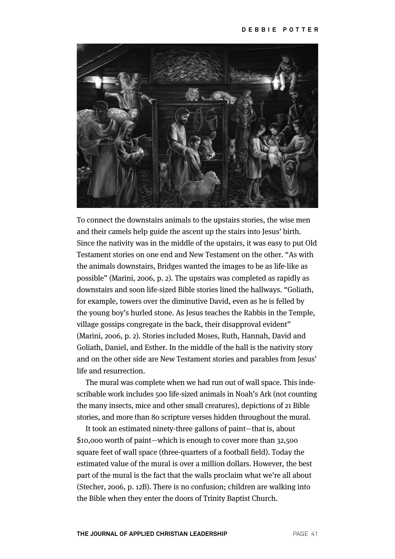

To connect the downstairs animals to the upstairs stories, the wise men and their camels help guide the ascent up the stairs into Jesus' birth. Since the nativity was in the middle of the upstairs, it was easy to put Old Testament stories on one end and New Testament on the other. "As with the animals downstairs, Bridges wanted the images to be as life-like as possible" (Marini, 2006, p. 2). The upstairs was completed as rapidly as downstairs and soon life-sized Bible stories lined the hallways. "Goliath, for example, towers over the diminutive David, even as he is felled by the young boy's hurled stone. As Jesus teaches the Rabbis in the Temple, village gossips congregate in the back, their disapproval evident" (Marini, 2006, p. 2). Stories included Moses, Ruth, Hannah, David and Goliath, Daniel, and Esther. In the middle of the hall is the nativity story and on the other side are New Testament stories and parables from Jesus' life and resurrection.

The mural was complete when we had run out of wall space. This indescribable work includes 500 life-sized animals in Noah's Ark (not counting the many insects, mice and other small creatures), depictions of 21 Bible stories, and more than 80 scripture verses hidden throughout the mural.

It took an estimated ninety-three gallons of paint—that is, about \$10,000 worth of paint—which is enough to cover more than 32,500 square feet of wall space (three-quarters of a football field). Today the estimated value of the mural is over a million dollars. However, the best part of the mural is the fact that the walls proclaim what we're all about (Stecher, 2006, p. 12B). There is no confusion; children are walking into the Bible when they enter the doors of Trinity Baptist Church.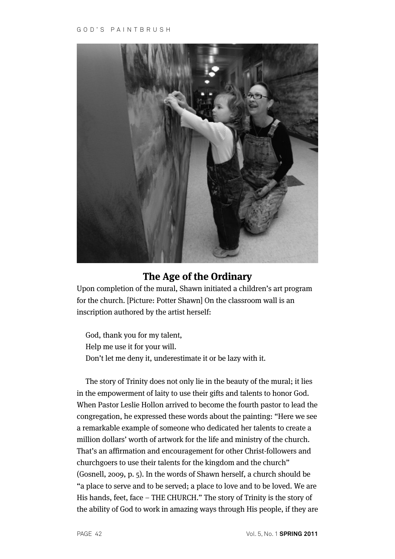

# **The Age of the Ordinary**

Upon completion of the mural, Shawn initiated a children's art program for the church. [Picture: Potter Shawn] On the classroom wall is an inscription authored by the artist herself:

God, thank you for my talent, Help me use it for your will. Don't let me deny it, underestimate it or be lazy with it.

The story of Trinity does not only lie in the beauty of the mural; it lies in the empowerment of laity to use their gifts and talents to honor God. When Pastor Leslie Hollon arrived to become the fourth pastor to lead the congregation, he expressed these words about the painting: "Here we see a remarkable example of someone who dedicated her talents to create a million dollars' worth of artwork for the life and ministry of the church. That's an affirmation and encouragement for other Christ-followers and churchgoers to use their talents for the kingdom and the church" (Gosnell, 2009, p. 5). In the words of Shawn herself, a church should be "a place to serve and to be served; a place to love and to be loved. We are His hands, feet, face – THE CHURCH." The story of Trinity is the story of the ability of God to work in amazing ways through His people, if they are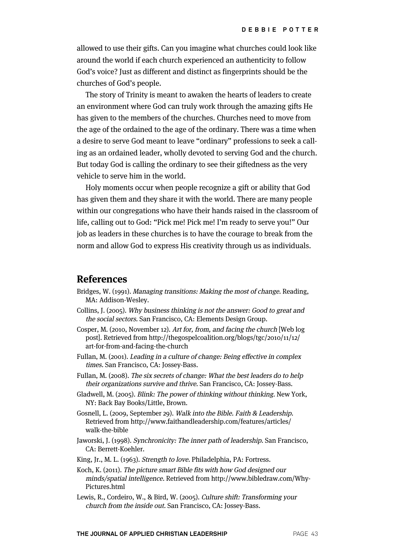allowed to use their gifts. Can you imagine what churches could look like around the world if each church experienced an authenticity to follow God's voice? Just as different and distinct as fingerprints should be the churches of God's people.

The story of Trinity is meant to awaken the hearts of leaders to create an environment where God can truly work through the amazing gifts He has given to the members of the churches. Churches need to move from the age of the ordained to the age of the ordinary. There was a time when a desire to serve God meant to leave "ordinary" professions to seek a calling as an ordained leader, wholly devoted to serving God and the church. But today God is calling the ordinary to see their giftedness as the very vehicle to serve him in the world.

Holy moments occur when people recognize a gift or ability that God has given them and they share it with the world. There are many people within our congregations who have their hands raised in the classroom of life, calling out to God: "Pick me! Pick me! I'm ready to serve you!" Our job as leaders in these churches is to have the courage to break from the norm and allow God to express His creativity through us as individuals.

#### **References**

- Bridges, W. (1991). Managing transitions: Making the most of change. Reading, MA: Addison-Wesley.
- Collins, J. (2005). Why business thinking is not the answer: Good to great and the social sectors. San Francisco, CA: Elements Design Group.
- Cosper, M. (2010, November 12). Art for, from, and facing the church [Web log post]. Retrieved from http://thegospelcoalition.org/blogs/tgc/2010/11/12/ art-for-from-and-facing-the-church
- Fullan, M. (2001). Leading in a culture of change: Being effective in complex times. San Francisco, CA: Jossey-Bass.
- Fullan, M. (2008). The six secrets of change: What the best leaders do to help their organizations survive and thrive. San Francisco, CA: Jossey-Bass.
- Gladwell, M. (2005). Blink: The power of thinking without thinking. New York, NY: Back Bay Books/Little, Brown.
- Gosnell, L. (2009, September 29). Walk into the Bible. Faith & Leadership. Retrieved from http://www.faithandleadership.com/features/articles/ walk-the-bible
- Jaworski, J. (1998). Synchronicity: The inner path of leadership. San Francisco, CA: Berrett-Koehler.
- King, Jr., M. L. (1963). Strength to love. Philadelphia, PA: Fortress.
- Koch, K. (2011). The picture smart Bible fits with how God designed our minds/spatial intelligence. Retrieved from http://www.bibledraw.com/Why-Pictures.html
- Lewis, R., Cordeiro, W., & Bird, W. (2005). Culture shift: Transforming your church from the inside out. San Francisco, CA: Jossey-Bass.